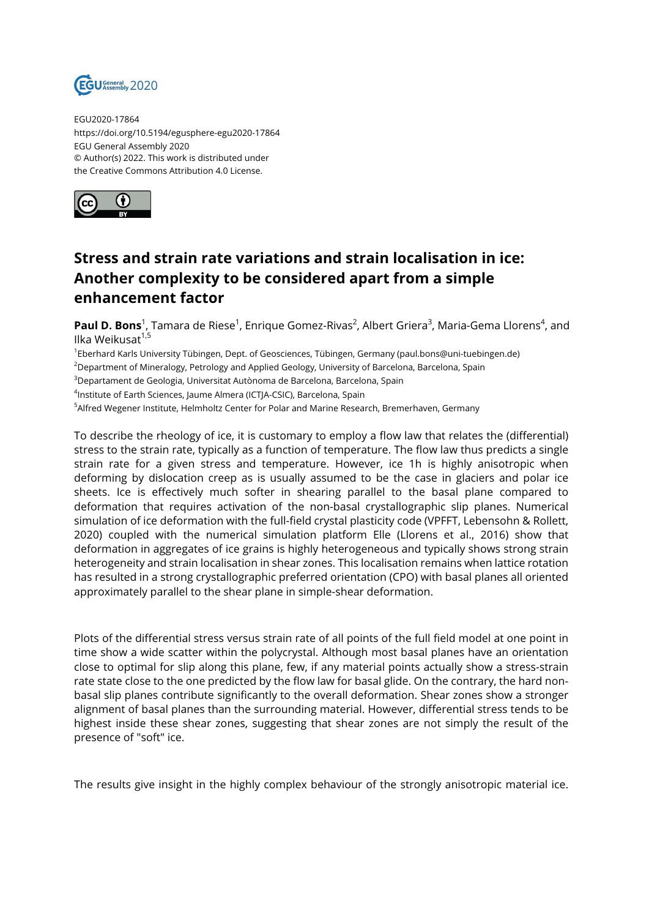

EGU2020-17864 https://doi.org/10.5194/egusphere-egu2020-17864 EGU General Assembly 2020 © Author(s) 2022. This work is distributed under the Creative Commons Attribution 4.0 License.



## **Stress and strain rate variations and strain localisation in ice: Another complexity to be considered apart from a simple enhancement factor**

**Paul D. Bons**<sup>1</sup>, Tamara de Riese<sup>1</sup>, Enrique Gomez-Rivas<sup>2</sup>, Albert Griera<sup>3</sup>, Maria-Gema Llorens<sup>4</sup>, and Ilka Weikusat $1,5$ 

1 Eberhard Karls University Tübingen, Dept. of Geosciences, Tübingen, Germany (paul.bons@uni-tuebingen.de)

<sup>2</sup>Department of Mineralogy, Petrology and Applied Geology, University of Barcelona, Barcelona, Spain

<sup>3</sup>Departament de Geologia, Universitat Autònoma de Barcelona, Barcelona, Spain

4 Institute of Earth Sciences, Jaume Almera (ICTJA-CSIC), Barcelona, Spain

<sup>5</sup>Alfred Wegener Institute, Helmholtz Center for Polar and Marine Research, Bremerhaven, Germany

To describe the rheology of ice, it is customary to employ a flow law that relates the (differential) stress to the strain rate, typically as a function of temperature. The flow law thus predicts a single strain rate for a given stress and temperature. However, ice 1h is highly anisotropic when deforming by dislocation creep as is usually assumed to be the case in glaciers and polar ice sheets. Ice is effectively much softer in shearing parallel to the basal plane compared to deformation that requires activation of the non-basal crystallographic slip planes. Numerical simulation of ice deformation with the full-field crystal plasticity code (VPFFT, Lebensohn & Rollett, 2020) coupled with the numerical simulation platform Elle (Llorens et al., 2016) show that deformation in aggregates of ice grains is highly heterogeneous and typically shows strong strain heterogeneity and strain localisation in shear zones. This localisation remains when lattice rotation has resulted in a strong crystallographic preferred orientation (CPO) with basal planes all oriented approximately parallel to the shear plane in simple-shear deformation.

Plots of the differential stress versus strain rate of all points of the full field model at one point in time show a wide scatter within the polycrystal. Although most basal planes have an orientation close to optimal for slip along this plane, few, if any material points actually show a stress-strain rate state close to the one predicted by the flow law for basal glide. On the contrary, the hard nonbasal slip planes contribute significantly to the overall deformation. Shear zones show a stronger alignment of basal planes than the surrounding material. However, differential stress tends to be highest inside these shear zones, suggesting that shear zones are not simply the result of the presence of "soft" ice.

The results give insight in the highly complex behaviour of the strongly anisotropic material ice.